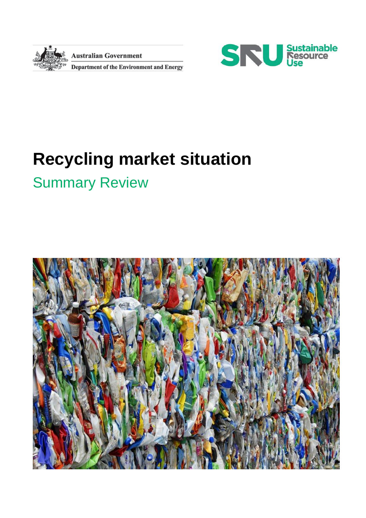

**Australian Government** 

Department of the Environment and Energy



# **Recycling market situation**

# Summary Review

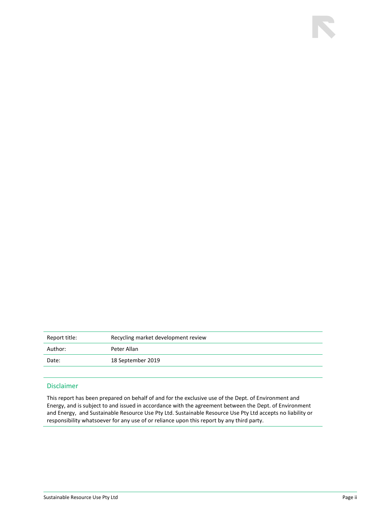| Report title: | Recycling market development review |  |
|---------------|-------------------------------------|--|
| Author:       | Peter Allan                         |  |
| Date:         | 18 September 2019                   |  |

#### Disclaimer

This report has been prepared on behalf of and for the exclusive use of the Dept. of Environment and Energy, and is subject to and issued in accordance with the agreement between the Dept. of Environment and Energy, and Sustainable Resource Use Pty Ltd. Sustainable Resource Use Pty Ltd accepts no liability or responsibility whatsoever for any use of or reliance upon this report by any third party.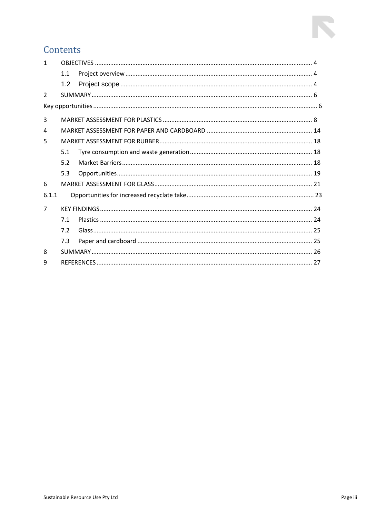### Contents

| 1              |     |  |  |
|----------------|-----|--|--|
|                | 1.1 |  |  |
|                | 1.2 |  |  |
| $\mathcal{L}$  |     |  |  |
|                |     |  |  |
| 3              |     |  |  |
| 4              |     |  |  |
| 5              |     |  |  |
|                | 5.1 |  |  |
|                | 5.2 |  |  |
|                | 5.3 |  |  |
| 6              |     |  |  |
| 6.1.1          |     |  |  |
| $\overline{7}$ |     |  |  |
|                | 7.1 |  |  |
|                | 7.2 |  |  |
|                | 7.3 |  |  |
| 8              |     |  |  |
| q              |     |  |  |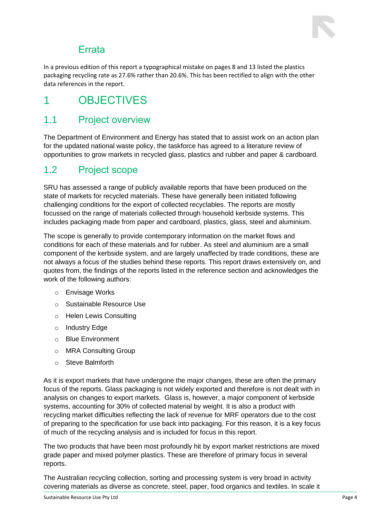

### Errata

<span id="page-3-0"></span>In a previous edition of this report a typographical mistake on pages 8 and 13 listed the plastics packaging recycling rate as 27.6% rather than 20.6%. This has been rectified to align with the other data references in the report.

### 1 OBJECTIVES

### <span id="page-3-1"></span>1.1 Project overview

The Department of Environment and Energy has stated that to assist work on an action plan for the updated national waste policy, the taskforce has agreed to a literature review of opportunities to grow markets in recycled glass, plastics and rubber and paper & cardboard.

### <span id="page-3-2"></span>1.2 Project scope

SRU has assessed a range of publicly available reports that have been produced on the state of markets for recycled materials. These have generally been initiated following challenging conditions for the export of collected recyclables. The reports are mostly focussed on the range of materials collected through household kerbside systems. This includes packaging made from paper and cardboard, plastics, glass, steel and aluminium.

The scope is generally to provide contemporary information on the market flows and conditions for each of these materials and for rubber. As steel and aluminium are a small component of the kerbside system, and are largely unaffected by trade conditions, these are not always a focus of the studies behind these reports. This report draws extensively on, and quotes from, the findings of the reports listed in the reference section and acknowledges the work of the following authors:

- o Envisage Works
- o Sustainable Resource Use
- o Helen Lewis Consulting
- o Industry Edge
- o Blue Environment
- o MRA Consulting Group
- o Steve Balmforth

As it is export markets that have undergone the major changes, these are often the primary focus of the reports. Glass packaging is not widely exported and therefore is not dealt with in analysis on changes to export markets. Glass is, however, a major component of kerbside systems, accounting for 30% of collected material by weight. It is also a product with recycling market difficulties reflecting the lack of revenue for MRF operators due to the cost of preparing to the specification for use back into packaging. For this reason, it is a key focus of much of the recycling analysis and is included for focus in this report.

The two products that have been most profoundly hit by export market restrictions are mixed grade paper and mixed polymer plastics. These are therefore of primary focus in several reports.

The Australian recycling collection, sorting and processing system is very broad in activity covering materials as diverse as concrete, steel, paper, food organics and textiles. In scale it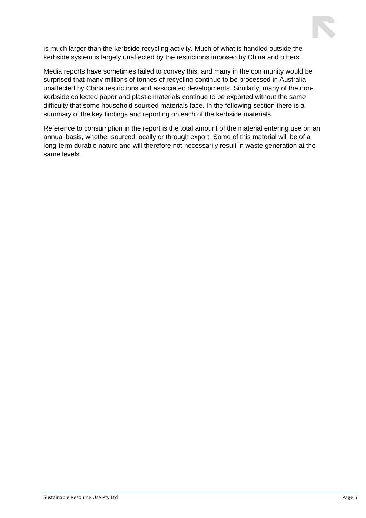

is much larger than the kerbside recycling activity. Much of what is handled outside the kerbside system is largely unaffected by the restrictions imposed by China and others.

Media reports have sometimes failed to convey this, and many in the community would be surprised that many millions of tonnes of recycling continue to be processed in Australia unaffected by China restrictions and associated developments. Similarly, many of the nonkerbside collected paper and plastic materials continue to be exported without the same difficulty that some household sourced materials face. In the following section there is a summary of the key findings and reporting on each of the kerbside materials.

Reference to consumption in the report is the total amount of the material entering use on an annual basis, whether sourced locally or through export. Some of this material will be of a long-term durable nature and will therefore not necessarily result in waste generation at the same levels.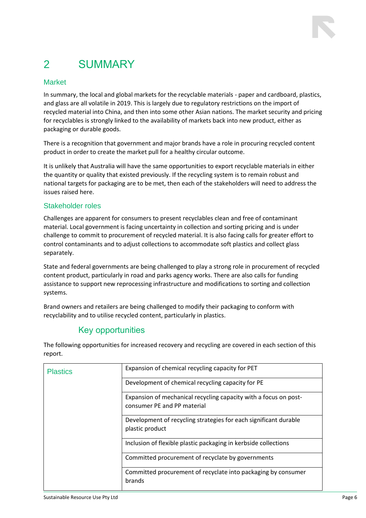### <span id="page-5-0"></span>2 SUMMARY

#### Market

In summary, the local and global markets for the recyclable materials - paper and cardboard, plastics, and glass are all volatile in 2019. This is largely due to regulatory restrictions on the import of recycled material into China, and then into some other Asian nations. The market security and pricing for recyclables is strongly linked to the availability of markets back into new product, either as packaging or durable goods.

There is a recognition that government and major brands have a role in procuring recycled content product in order to create the market pull for a healthy circular outcome.

It is unlikely that Australia will have the same opportunities to export recyclable materials in either the quantity or quality that existed previously. If the recycling system is to remain robust and national targets for packaging are to be met, then each of the stakeholders will need to address the issues raised here.

#### Stakeholder roles

Challenges are apparent for consumers to present recyclables clean and free of contaminant material. Local government is facing uncertainty in collection and sorting pricing and is under challenge to commit to procurement of recycled material. It is also facing calls for greater effort to control contaminants and to adjust collections to accommodate soft plastics and collect glass separately.

State and federal governments are being challenged to play a strong role in procurement of recycled content product, particularly in road and parks agency works. There are also calls for funding assistance to support new reprocessing infrastructure and modifications to sorting and collection systems.

Brand owners and retailers are being challenged to modify their packaging to conform with recyclability and to utilise recycled content, particularly in plastics.

### Key opportunities

<span id="page-5-1"></span>The following opportunities for increased recovery and recycling are covered in each section of this report.

| <b>Plastics</b> | Expansion of chemical recycling capacity for PET                                                |
|-----------------|-------------------------------------------------------------------------------------------------|
|                 | Development of chemical recycling capacity for PE                                               |
|                 | Expansion of mechanical recycling capacity with a focus on post-<br>consumer PE and PP material |
|                 | Development of recycling strategies for each significant durable<br>plastic product             |
|                 | Inclusion of flexible plastic packaging in kerbside collections                                 |
|                 | Committed procurement of recyclate by governments                                               |
|                 | Committed procurement of recyclate into packaging by consumer<br>brands                         |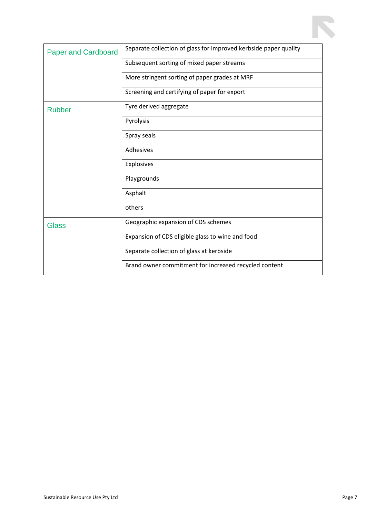| <b>Paper and Cardboard</b> | Separate collection of glass for improved kerbside paper quality |
|----------------------------|------------------------------------------------------------------|
|                            | Subsequent sorting of mixed paper streams                        |
|                            | More stringent sorting of paper grades at MRF                    |
|                            | Screening and certifying of paper for export                     |
| <b>Rubber</b>              | Tyre derived aggregate                                           |
|                            | Pyrolysis                                                        |
|                            | Spray seals                                                      |
|                            | Adhesives                                                        |
|                            | Explosives                                                       |
|                            | Playgrounds                                                      |
|                            | Asphalt                                                          |
|                            | others                                                           |
| <b>Glass</b>               | Geographic expansion of CDS schemes                              |
|                            | Expansion of CDS eligible glass to wine and food                 |
|                            | Separate collection of glass at kerbside                         |
|                            | Brand owner commitment for increased recycled content            |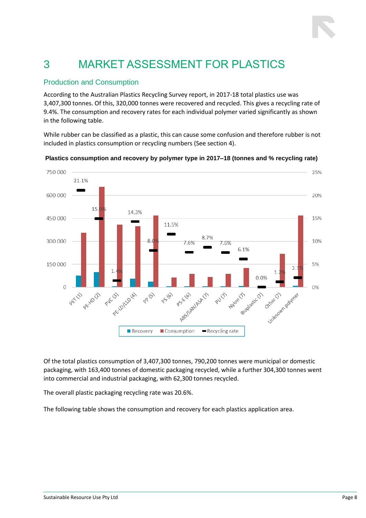## <span id="page-7-0"></span>3 MARKET ASSESSMENT FOR PLASTICS

#### Production and Consumption

According to the Australian Plastics Recycling Survey report, in 2017-18 total plastics use was 3,407,300 tonnes. Of this, 320,000 tonnes were recovered and recycled. This gives a recycling rate of 9.4%. The consumption and recovery rates for each individual polymer varied significantly as shown in the following table.

While rubber can be classified as a plastic, this can cause some confusion and therefore rubber is not included in plastics consumption or recycling numbers (See section 4).



**Plastics consumption and recovery by polymer type in 2017–18 (tonnes and % recycling rate)**

Of the total plastics consumption of 3,407,300 tonnes, 790,200 tonnes were municipal or domestic packaging, with 163,400 tonnes of domestic packaging recycled, while a further 304,300 tonnes went into commercial and industrial packaging, with 62,300 tonnes recycled.

The overall plastic packaging recycling rate was 20.6%.

The following table shows the consumption and recovery for each plastics application area.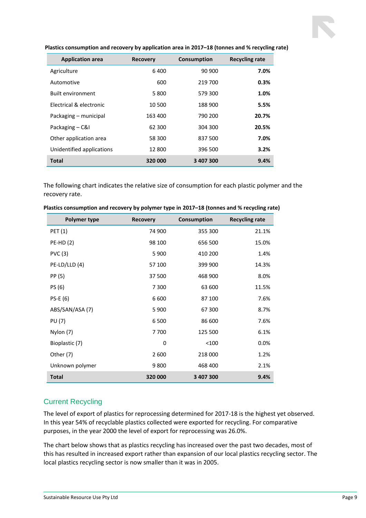| <b>Application area</b>            | <b>Recovery</b> | Consumption | <b>Recycling rate</b> |
|------------------------------------|-----------------|-------------|-----------------------|
| Agriculture                        | 6400            | 90 900      | 7.0%                  |
| Automotive                         | 600             | 219 700     | 0.3%                  |
| <b>Built environment</b>           | 5800            | 579 300     | 1.0%                  |
| <b>Electrical &amp; electronic</b> | 10 500          | 188 900     | 5.5%                  |
| Packaging – municipal              | 163 400         | 790 200     | 20.7%                 |
| Packaging – C&I                    | 62 300          | 304 300     | 20.5%                 |
| Other application area             | 58 300          | 837 500     | 7.0%                  |
| Unidentified applications          | 12 800          | 396 500     | 3.2%                  |
| <b>Total</b>                       | 320 000         | 3407300     | 9.4%                  |

**Plastics consumption and recovery by application area in 2017–18 (tonnes and % recycling rate)**

The following chart indicates the relative size of consumption for each plastic polymer and the recovery rate.

| <b>Polymer type</b> | <b>Recovery</b> | Consumption | <b>Recycling rate</b> |
|---------------------|-----------------|-------------|-----------------------|
| <b>PET (1)</b>      | 74 900          | 355 300     | 21.1%                 |
| <b>PE-HD(2)</b>     | 98 100          | 656 500     | 15.0%                 |
| PVC(3)              | 5 9 0 0         | 410 200     | 1.4%                  |
| $PE-LD/LLD(4)$      | 57 100          | 399 900     | 14.3%                 |
| PP (5)              | 37 500          | 468 900     | 8.0%                  |
| PS (6)              | 7 300           | 63 600      | 11.5%                 |
| $PS-E(6)$           | 6600            | 87 100      | 7.6%                  |
| ABS/SAN/ASA (7)     | 5 9 0 0         | 67 300      | 8.7%                  |
| <b>PU (7)</b>       | 6 500           | 86 600      | 7.6%                  |
| Nylon (7)           | 7700            | 125 500     | 6.1%                  |
| Bioplastic (7)      | 0               | < 100       | 0.0%                  |
| Other (7)           | 2 600           | 218 000     | 1.2%                  |
| Unknown polymer     | 9800            | 468 400     | 2.1%                  |
| <b>Total</b>        | 320 000         | 3 407 300   | 9.4%                  |

| Plastics consumption and recovery by polymer type in 2017-18 (tonnes and % recycling rate) |  |  |  |  |
|--------------------------------------------------------------------------------------------|--|--|--|--|
|--------------------------------------------------------------------------------------------|--|--|--|--|

#### Current Recycling

The level of export of plastics for reprocessing determined for 2017-18 is the highest yet observed. In this year 54% of recyclable plastics collected were exported for recycling. For comparative purposes, in the year 2000 the level of export for reprocessing was 26.0%.

The chart below shows that as plastics recycling has increased over the past two decades, most of this has resulted in increased export rather than expansion of our local plastics recycling sector. The local plastics recycling sector is now smaller than it was in 2005.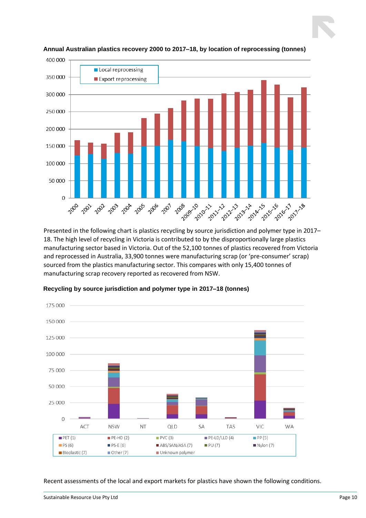

**Annual Australian plastics recovery 2000 to 2017–18, by location of reprocessing (tonnes)**

Presented in the following chart is plastics recycling by source jurisdiction and polymer type in 2017– 18. The high level of recycling in Victoria is contributed to by the disproportionally large plastics manufacturing sector based in Victoria. Out of the 52,100 tonnes of plastics recovered from Victoria and reprocessed in Australia, 33,900 tonnes were manufacturing scrap (or 'pre-consumer' scrap) sourced from the plastics manufacturing sector. This compares with only 15,400 tonnes of manufacturing scrap recovery reported as recovered from NSW.



**Recycling by source jurisdiction and polymer type in 2017–18 (tonnes)**

Recent assessments of the local and export markets for plastics have shown the following conditions.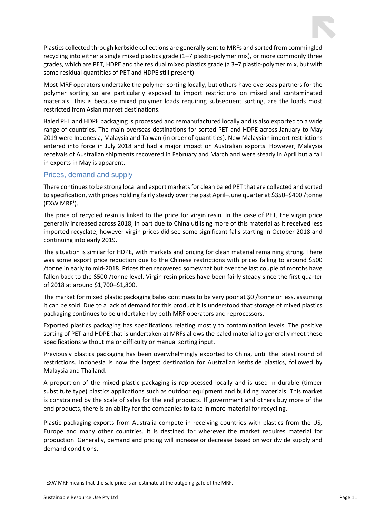Plastics collected through kerbside collections are generally sent to MRFs and sorted from commingled recycling into either a single mixed plastics grade (1–7 plastic-polymer mix), or more commonly three grades, which are PET, HDPE and the residual mixed plastics grade (a 3–7 plastic-polymer mix, but with some residual quantities of PET and HDPE still present).

Most MRF operators undertake the polymer sorting locally, but others have overseas partners for the polymer sorting so are particularly exposed to import restrictions on mixed and contaminated materials. This is because mixed polymer loads requiring subsequent sorting, are the loads most restricted from Asian market destinations.

Baled PET and HDPE packaging is processed and remanufactured locally and is also exported to a wide range of countries. The main overseas destinations for sorted PET and HDPE across January to May 2019 were Indonesia, Malaysia and Taiwan (in order of quantities). New Malaysian import restrictions entered into force in July 2018 and had a major impact on Australian exports. However, Malaysia receivals of Australian shipments recovered in February and March and were steady in April but a fall in exports in May is apparent.

#### Prices, demand and supply

There continues to be strong local and export markets for clean baled PET that are collected and sorted to specification, with prices holding fairly steady over the past April–June quarter at \$350–\$400 /tonne (EXW MRF<sup>1</sup> ).

The price of recycled resin is linked to the price for virgin resin. In the case of PET, the virgin price generally increased across 2018, in part due to China utilising more of this material as it received less imported recyclate, however virgin prices did see some significant falls starting in October 2018 and continuing into early 2019.

The situation is similar for HDPE, with markets and pricing for clean material remaining strong. There was some export price reduction due to the Chinese restrictions with prices falling to around \$500 /tonne in early to mid-2018. Prices then recovered somewhat but over the last couple of months have fallen back to the \$500 /tonne level. Virgin resin prices have been fairly steady since the first quarter of 2018 at around \$1,700–\$1,800.

The market for mixed plastic packaging bales continues to be very poor at \$0 /tonne or less, assuming it can be sold. Due to a lack of demand for this product it is understood that storage of mixed plastics packaging continues to be undertaken by both MRF operators and reprocessors.

Exported plastics packaging has specifications relating mostly to contamination levels. The positive sorting of PET and HDPE that is undertaken at MRFs allows the baled material to generally meet these specifications without major difficulty or manual sorting input.

Previously plastics packaging has been overwhelmingly exported to China, until the latest round of restrictions. Indonesia is now the largest destination for Australian kerbside plastics, followed by Malaysia and Thailand.

A proportion of the mixed plastic packaging is reprocessed locally and is used in durable (timber substitute type) plastics applications such as outdoor equipment and building materials. This market is constrained by the scale of sales for the end products. If government and others buy more of the end products, there is an ability for the companies to take in more material for recycling.

Plastic packaging exports from Australia compete in receiving countries with plastics from the US, Europe and many other countries. It is destined for wherever the market requires material for production. Generally, demand and pricing will increase or decrease based on worldwide supply and demand conditions.

<sup>&</sup>lt;sup>1</sup> EXW MRF means that the sale price is an estimate at the outgoing gate of the MRF.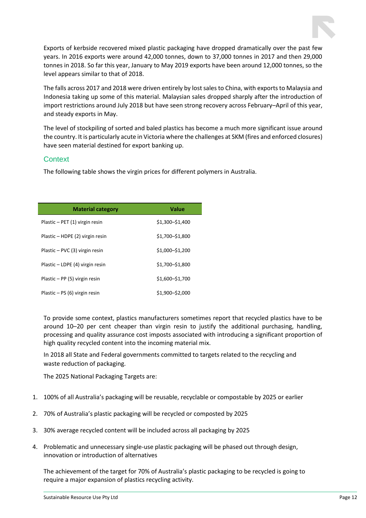Exports of kerbside recovered mixed plastic packaging have dropped dramatically over the past few years. In 2016 exports were around 42,000 tonnes, down to 37,000 tonnes in 2017 and then 29,000 tonnes in 2018. So far this year, January to May 2019 exports have been around 12,000 tonnes, so the level appears similar to that of 2018.

The falls across 2017 and 2018 were driven entirely by lost sales to China, with exports to Malaysia and Indonesia taking up some of this material. Malaysian sales dropped sharply after the introduction of import restrictions around July 2018 but have seen strong recovery across February–April of this year, and steady exports in May.

The level of stockpiling of sorted and baled plastics has become a much more significant issue around the country. It is particularly acute in Victoria where the challenges at SKM (fires and enforced closures) have seen material destined for export banking up.

#### **Context**

The following table shows the virgin prices for different polymers in Australia.

| <b>Material category</b>        | Value           |
|---------------------------------|-----------------|
| Plastic - PET (1) virgin resin  | \$1.300-\$1.400 |
| Plastic - HDPE (2) virgin resin | \$1,700-\$1,800 |
| Plastic - PVC (3) virgin resin  | \$1,000-\$1,200 |
| Plastic - LDPE (4) virgin resin | \$1,700-\$1,800 |
| Plastic $-$ PP (5) virgin resin | \$1,600-\$1,700 |
| Plastic – PS (6) virgin resin   | \$1,900-\$2,000 |

To provide some context, plastics manufacturers sometimes report that recycled plastics have to be around 10–20 per cent cheaper than virgin resin to justify the additional purchasing, handling, processing and quality assurance cost imposts associated with introducing a significant proportion of high quality recycled content into the incoming material mix.

In 2018 all State and Federal governments committed to targets related to the recycling and waste reduction of packaging.

The 2025 National Packaging Targets are:

- 1. 100% of all Australia's packaging will be reusable, recyclable or compostable by 2025 or earlier
- 2. 70% of Australia's plastic packaging will be recycled or composted by 2025
- 3. 30% average recycled content will be included across all packaging by 2025
- 4. Problematic and unnecessary single-use plastic packaging will be phased out through design, innovation or introduction of alternatives

The achievement of the target for 70% of Australia's plastic packaging to be recycled is going to require a major expansion of plastics recycling activity.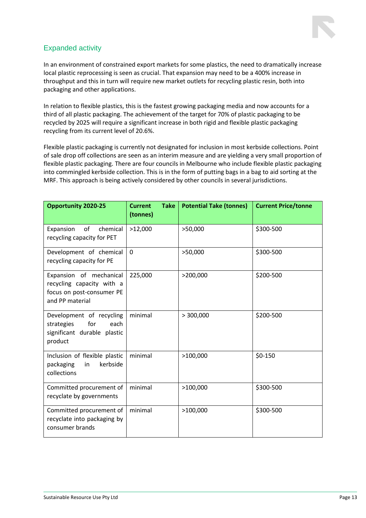

#### Expanded activity

In an environment of constrained export markets for some plastics, the need to dramatically increase local plastic reprocessing is seen as crucial. That expansion may need to be a 400% increase in throughput and this in turn will require new market outlets for recycling plastic resin, both into packaging and other applications.

In relation to flexible plastics, this is the fastest growing packaging media and now accounts for a third of all plastic packaging. The achievement of the target for 70% of plastic packaging to be recycled by 2025 will require a significant increase in both rigid and flexible plastic packaging recycling from its current level of 20.6%.

Flexible plastic packaging is currently not designated for inclusion in most kerbside collections. Point of sale drop off collections are seen as an interim measure and are yielding a very small proportion of flexible plastic packaging. There are four councils in Melbourne who include flexible plastic packaging into commingled kerbside collection. This is in the form of putting bags in a bag to aid sorting at the MRF. This approach is being actively considered by other councils in several jurisdictions.

| <b>Opportunity 2020-25</b>                                                                           | <b>Take</b><br><b>Current</b><br>(tonnes) | <b>Potential Take (tonnes)</b> | <b>Current Price/tonne</b> |
|------------------------------------------------------------------------------------------------------|-------------------------------------------|--------------------------------|----------------------------|
| of<br>Expansion<br>chemical<br>recycling capacity for PET                                            | >12,000                                   | >50,000                        | \$300-500                  |
| Development of chemical<br>recycling capacity for PE                                                 | $\overline{0}$                            | >50,000                        | \$300-500                  |
| Expansion of mechanical<br>recycling capacity with a<br>focus on post-consumer PE<br>and PP material | 225,000                                   | >200,000                       | \$200-500                  |
| Development of recycling<br>strategies<br>for<br>each<br>significant durable plastic<br>product      | minimal                                   | > 300,000                      | \$200-500                  |
| Inclusion of flexible plastic<br>kerbside<br>packaging<br>in<br>collections                          | minimal                                   | >100,000                       | \$0-150                    |
| Committed procurement of<br>recyclate by governments                                                 | minimal                                   | >100,000                       | \$300-500                  |
| Committed procurement of<br>recyclate into packaging by<br>consumer brands                           | minimal                                   | >100,000                       | \$300-500                  |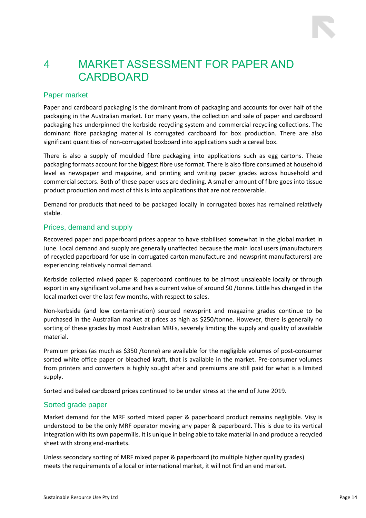### <span id="page-13-0"></span>4 MARKET ASSESSMENT FOR PAPER AND CARDBOARD

#### Paper market

Paper and cardboard packaging is the dominant from of packaging and accounts for over half of the packaging in the Australian market. For many years, the collection and sale of paper and cardboard packaging has underpinned the kerbside recycling system and commercial recycling collections. The dominant fibre packaging material is corrugated cardboard for box production. There are also significant quantities of non-corrugated boxboard into applications such a cereal box.

There is also a supply of moulded fibre packaging into applications such as egg cartons. These packaging formats account for the biggest fibre use format. There is also fibre consumed at household level as newspaper and magazine, and printing and writing paper grades across household and commercial sectors. Both of these paper uses are declining. A smaller amount of fibre goes into tissue product production and most of this is into applications that are not recoverable.

Demand for products that need to be packaged locally in corrugated boxes has remained relatively stable.

#### Prices, demand and supply

Recovered paper and paperboard prices appear to have stabilised somewhat in the global market in June. Local demand and supply are generally unaffected because the main local users (manufacturers of recycled paperboard for use in corrugated carton manufacture and newsprint manufacturers) are experiencing relatively normal demand.

Kerbside collected mixed paper & paperboard continues to be almost unsaleable locally or through export in any significant volume and has a current value of around \$0 /tonne. Little has changed in the local market over the last few months, with respect to sales.

Non-kerbside (and low contamination) sourced newsprint and magazine grades continue to be purchased in the Australian market at prices as high as \$250/tonne. However, there is generally no sorting of these grades by most Australian MRFs, severely limiting the supply and quality of available material.

Premium prices (as much as \$350 /tonne) are available for the negligible volumes of post-consumer sorted white office paper or bleached kraft, that is available in the market. Pre-consumer volumes from printers and converters is highly sought after and premiums are still paid for what is a limited supply.

Sorted and baled cardboard prices continued to be under stress at the end of June 2019.

#### Sorted grade paper

Market demand for the MRF sorted mixed paper & paperboard product remains negligible. Visy is understood to be the only MRF operator moving any paper & paperboard. This is due to its vertical integration with its own papermills. It is unique in being able to take material in and produce a recycled sheet with strong end-markets.

Unless secondary sorting of MRF mixed paper & paperboard (to multiple higher quality grades) meets the requirements of a local or international market, it will not find an end market.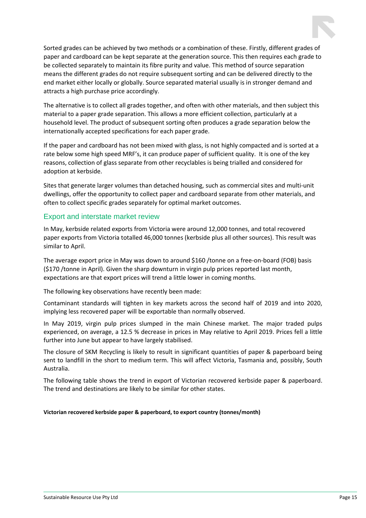Sorted grades can be achieved by two methods or a combination of these. Firstly, different grades of paper and cardboard can be kept separate at the generation source. This then requires each grade to be collected separately to maintain its fibre purity and value. This method of source separation means the different grades do not require subsequent sorting and can be delivered directly to the end market either locally or globally. Source separated material usually is in stronger demand and attracts a high purchase price accordingly.

The alternative is to collect all grades together, and often with other materials, and then subject this material to a paper grade separation. This allows a more efficient collection, particularly at a household level. The product of subsequent sorting often produces a grade separation below the internationally accepted specifications for each paper grade.

If the paper and cardboard has not been mixed with glass, is not highly compacted and is sorted at a rate below some high speed MRF's, it can produce paper of sufficient quality. It is one of the key reasons, collection of glass separate from other recyclables is being trialled and considered for adoption at kerbside.

Sites that generate larger volumes than detached housing, such as commercial sites and multi-unit dwellings, offer the opportunity to collect paper and cardboard separate from other materials, and often to collect specific grades separately for optimal market outcomes.

#### Export and interstate market review

In May, kerbside related exports from Victoria were around 12,000 tonnes, and total recovered paper exports from Victoria totalled 46,000 tonnes (kerbside plus all other sources). This result was similar to April.

The average export price in May was down to around \$160 /tonne on a free-on-board (FOB) basis (\$170 /tonne in April). Given the sharp downturn in virgin pulp prices reported last month, expectations are that export prices will trend a little lower in coming months.

The following key observations have recently been made:

Contaminant standards will tighten in key markets across the second half of 2019 and into 2020, implying less recovered paper will be exportable than normally observed.

In May 2019, virgin pulp prices slumped in the main Chinese market. The major traded pulps experienced, on average, a 12.5 % decrease in prices in May relative to April 2019. Prices fell a little further into June but appear to have largely stabilised.

The closure of SKM Recycling is likely to result in significant quantities of paper & paperboard being sent to landfill in the short to medium term. This will affect Victoria, Tasmania and, possibly, South Australia.

The following table shows the trend in export of Victorian recovered kerbside paper & paperboard. The trend and destinations are likely to be similar for other states.

**Victorian recovered kerbside paper & paperboard, to export country (tonnes/month)**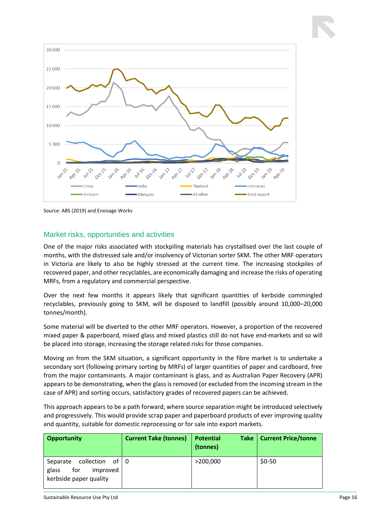

Source: ABS (2019) and Envisage Works

#### Market risks, opportunities and activities

One of the major risks associated with stockpiling materials has crystallised over the last couple of months, with the distressed sale and/or insolvency of Victorian sorter SKM. The other MRF operators in Victoria are likely to also be highly stressed at the current time. The increasing stockpiles of recovered paper, and other recyclables, are economically damaging and increase the risks of operating MRFs, from a regulatory and commercial perspective.

Over the next few months it appears likely that significant quantities of kerbside commingled recyclables, previously going to SKM, will be disposed to landfill (possibly around 10,000–20,000 tonnes/month).

Some material will be diverted to the other MRF operators. However, a proportion of the recovered mixed paper & paperboard, mixed glass and mixed plastics still do not have end-markets and so will be placed into storage, increasing the storage related risks for those companies.

Moving on from the SKM situation, a significant opportunity in the fibre market is to undertake a secondary sort (following primary sorting by MRFs) of larger quantities of paper and cardboard, free from the major contaminants. A major contaminant is glass, and as Australian Paper Recovery (APR) appears to be demonstrating, when the glass is removed (or excluded from the incoming stream in the case of APR) and sorting occurs, satisfactory grades of recovered papers can be achieved.

This approach appears to be a path forward, where source separation might be introduced selectively and progressively. This would provide scrap paper and paperboard products of ever improving quality and quantity, suitable for domestic reprocessing or for sale into export markets.

| <b>Opportunity</b>                                                                                  | <b>Current Take (tonnes)</b> | <b>Potential</b><br>(tonnes) | Take   Current Price/tonne |
|-----------------------------------------------------------------------------------------------------|------------------------------|------------------------------|----------------------------|
| $\,$ collection $\,$ of $\, \,$ 0<br>Separate<br>improved<br>for<br>glass<br>kerbside paper quality |                              | >200,000                     | $$0-50$                    |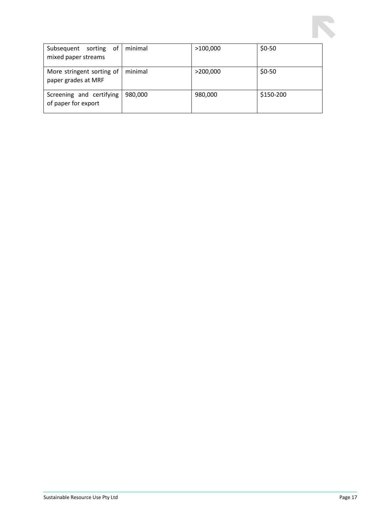

| 0f<br>Subsequent<br>sorting<br>mixed paper streams | minimal | >100,000 | $$0-50$   |
|----------------------------------------------------|---------|----------|-----------|
| More stringent sorting of<br>paper grades at MRF   | minimal | >200,000 | $$0-50$   |
| Screening and certifying<br>of paper for export    | 980,000 | 980,000  | \$150-200 |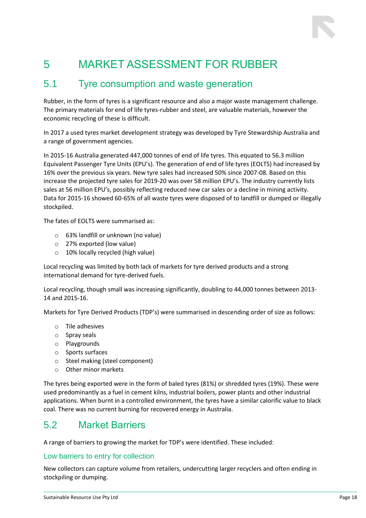### <span id="page-17-0"></span>5 MARKET ASSESSMENT FOR RUBBER

### <span id="page-17-1"></span>5.1 Tyre consumption and waste generation

Rubber, in the form of tyres is a significant resource and also a major waste management challenge. The primary materials for end of life tyres-rubber and steel, are valuable materials, however the economic recycling of these is difficult.

In 2017 a used tyres market development strategy was developed by Tyre Stewardship Australia and a range of government agencies.

In 2015-16 Australia generated 447,000 tonnes of end of life tyres. This equated to 56.3 million Equivalent Passenger Tyre Units (EPU's). The generation of end of life tyres (EOLTS) had increased by 16% over the previous six years. New tyre sales had increased 50% since 2007-08. Based on this increase the projected tyre sales for 2019-20 was over 58 million EPU's. The industry currently lists sales at 56 million EPU's, possibly reflecting reduced new car sales or a decline in mining activity. Data for 2015-16 showed 60-65% of all waste tyres were disposed of to landfill or dumped or illegally stockpiled.

The fates of EOLTS were summarised as:

- o 63% landfill or unknown (no value)
- o 27% exported (low value)
- o 10% locally recycled (high value)

Local recycling was limited by both lack of markets for tyre derived products and a strong international demand for tyre-derived fuels.

Local recycling, though small was increasing significantly, doubling to 44,000 tonnes between 2013- 14 and 2015-16.

Markets for Tyre Derived Products (TDP's) were summarised in descending order of size as follows:

- o Tile adhesives
- o Spray seals
- o Playgrounds
- o Sports surfaces
- o Steel making (steel component)
- o Other minor markets

The tyres being exported were in the form of baled tyres (81%) or shredded tyres (19%). These were used predominantly as a fuel in cement kilns, industrial boilers, power plants and other industrial applications. When burnt in a controlled environment, the tyres have a similar calorific value to black coal. There was no current burning for recovered energy in Australia.

### <span id="page-17-2"></span>5.2 Market Barriers

A range of barriers to growing the market for TDP's were identified. These included:

#### Low barriers to entry for collection

New collectors can capture volume from retailers, undercutting larger recyclers and often ending in stockpiling or dumping.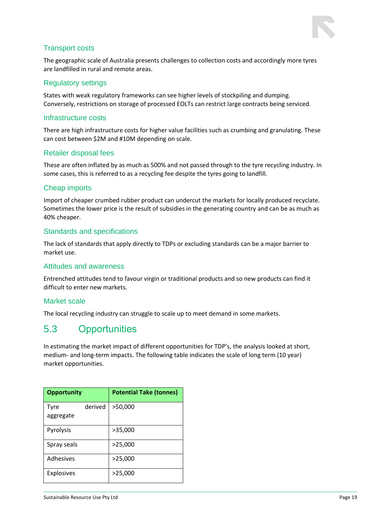

#### Transport costs

The geographic scale of Australia presents challenges to collection costs and accordingly more tyres are landfilled in rural and remote areas.

#### Regulatory settings

States with weak regulatory frameworks can see higher levels of stockpiling and dumping. Conversely, restrictions on storage of processed EOLTs can restrict large contracts being serviced.

#### Infrastructure costs

There are high infrastructure costs for higher value facilities such as crumbing and granulating. These can cost between \$2M and #10M depending on scale.

#### Retailer disposal fees

These are often inflated by as much as 500% and not passed through to the tyre recycling industry. In some cases, this is referred to as a recycling fee despite the tyres going to landfill.

#### Cheap imports

Import of cheaper crumbed rubber product can undercut the markets for locally produced recyclate. Sometimes the lower price is the result of subsidies in the generating country and can be as much as 40% cheaper.

#### Standards and specifications

The lack of standards that apply directly to TDPs or excluding standards can be a major barrier to market use.

#### Attitudes and awareness

Entrenched attitudes tend to favour virgin or traditional products and so new products can find it difficult to enter new markets.

#### Market scale

The local recycling industry can struggle to scale up to meet demand in some markets.

### <span id="page-18-0"></span>5.3 Opportunities

In estimating the market impact of different opportunities for TDP's, the analysis looked at short, medium- and long-term impacts. The following table indicates the scale of long term (10 year) market opportunities.

| <b>Opportunity</b> |         | <b>Potential Take (tonnes)</b> |
|--------------------|---------|--------------------------------|
| Tyre<br>aggregate  | derived | >50,000                        |
| Pyrolysis          |         | >35,000                        |
| Spray seals        |         | >25,000                        |
| Adhesives          |         | >25,000                        |
| <b>Explosives</b>  |         | >25,000                        |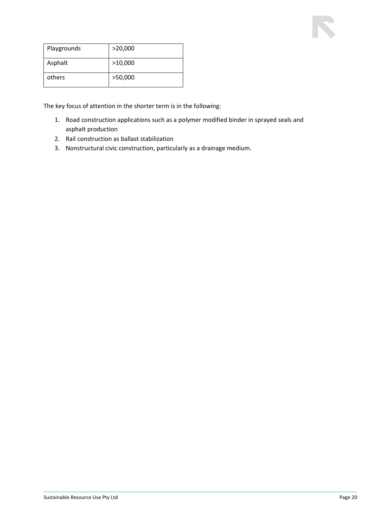| Playgrounds | >20,000 |
|-------------|---------|
| Asphalt     | >10,000 |
| others      | >50,000 |

The key focus of attention in the shorter term is in the following:

- 1. Road construction applications such as a polymer modified binder in sprayed seals and asphalt production
- 2. Rail construction as ballast stabilization
- 3. Nonstructural civic construction, particularly as a drainage medium.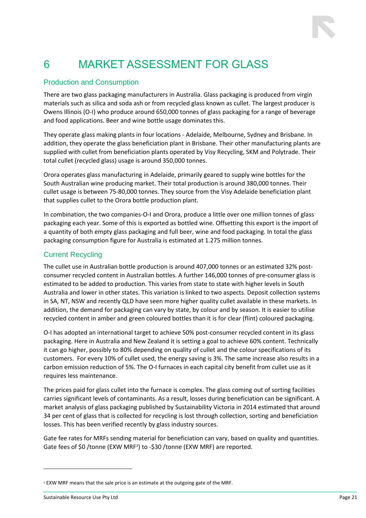### <span id="page-20-0"></span>6 MARKET ASSESSMENT FOR GLASS

#### Production and Consumption

There are two glass packaging manufacturers in Australia. Glass packaging is produced from virgin materials such as silica and soda ash or from recycled glass known as cullet. The largest producer is Owens Illinois (O-I) who produce around 650,000 tonnes of glass packaging for a range of beverage and food applications. Beer and wine bottle usage dominates this.

They operate glass making plants in four locations - Adelaide, Melbourne, Sydney and Brisbane. In addition, they operate the glass beneficiation plant in Brisbane. Their other manufacturing plants are supplied with cullet from beneficiation plants operated by Visy Recycling, SKM and Polytrade. Their total cullet (recycled glass) usage is around 350,000 tonnes.

Orora operates glass manufacturing in Adelaide, primarily geared to supply wine bottles for the South Australian wine producing market. Their total production is around 380,000 tonnes. Their cullet usage is between 75-80,000 tonnes. They source from the Visy Adelaide beneficiation plant that supplies cullet to the Orora bottle production plant.

In combination, the two companies-O-I and Orora, produce a little over one million tonnes of glass packaging each year. Some of this is exported as bottled wine. Offsetting this export is the import of a quantity of both empty glass packaging and full beer, wine and food packaging. In total the glass packaging consumption figure for Australia is estimated at 1.275 million tonnes.

#### Current Recycling

The cullet use in Australian bottle production is around 407,000 tonnes or an estimated 32% postconsumer recycled content in Australian bottles. A further 146,000 tonnes of pre-consumer glass is estimated to be added to production. This varies from state to state with higher levels in South Australia and lower in other states. This variation is linked to two aspects. Deposit collection systems in SA, NT, NSW and recently QLD have seen more higher quality cullet available in these markets. In addition, the demand for packaging can vary by state, by colour and by season. It is easier to utilise recycled content in amber and green coloured bottles than it is for clear (flint) coloured packaging.

O-I has adopted an international target to achieve 50% post-consumer recycled content in its glass packaging. Here in Australia and New Zealand it is setting a goal to achieve 60% content. Technically it can go higher, possibly to 80% depending on quality of cullet and the colour specifications of its customers. For every 10% of cullet used, the energy saving is 3%. The same increase also results in a carbon emission reduction of 5%. The O-I furnaces in each capital city benefit from cullet use as it requires less maintenance.

The prices paid for glass cullet into the furnace is complex. The glass coming out of sorting facilities carries significant levels of contaminants. As a result, losses during beneficiation can be significant. A market analysis of glass packaging published by Sustainability Victoria in 2014 estimated that around 34 per cent of glass that is collected for recycling is lost through collection, sorting and beneficiation losses. This has been verified recently by glass industry sources.

Gate fee rates for MRFs sending material for beneficiation can vary, based on quality and quantities. Gate fees of \$0 /tonne (EXW MRF<sup>2</sup>) to -\$30 /tonne (EXW MRF) are reported.

<sup>2</sup> EXW MRF means that the sale price is an estimate at the outgoing gate of the MRF.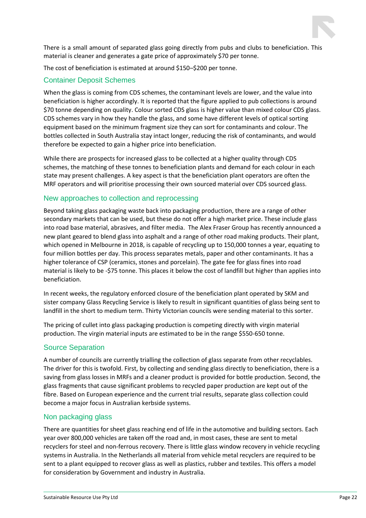

There is a small amount of separated glass going directly from pubs and clubs to beneficiation. This material is cleaner and generates a gate price of approximately \$70 per tonne.

The cost of beneficiation is estimated at around \$150–\$200 per tonne.

#### Container Deposit Schemes

When the glass is coming from CDS schemes, the contaminant levels are lower, and the value into beneficiation is higher accordingly. It is reported that the figure applied to pub collections is around \$70 tonne depending on quality. Colour sorted CDS glass is higher value than mixed colour CDS glass. CDS schemes vary in how they handle the glass, and some have different levels of optical sorting equipment based on the minimum fragment size they can sort for contaminants and colour. The bottles collected in South Australia stay intact longer, reducing the risk of contaminants, and would therefore be expected to gain a higher price into beneficiation.

While there are prospects for increased glass to be collected at a higher quality through CDS schemes, the matching of these tonnes to beneficiation plants and demand for each colour in each state may present challenges. A key aspect is that the beneficiation plant operators are often the MRF operators and will prioritise processing their own sourced material over CDS sourced glass.

#### New approaches to collection and reprocessing

Beyond taking glass packaging waste back into packaging production, there are a range of other secondary markets that can be used, but these do not offer a high market price. These include glass into road base material, abrasives, and filter media. The Alex Fraser Group has recently announced a new plant geared to blend glass into asphalt and a range of other road making products. Their plant, which opened in Melbourne in 2018, is capable of recycling up to 150,000 tonnes a year, equating to four million bottles per day. This process separates metals, paper and other contaminants. It has a higher tolerance of CSP (ceramics, stones and porcelain). The gate fee for glass fines into road material is likely to be -\$75 tonne. This places it below the cost of landfill but higher than applies into beneficiation.

In recent weeks, the regulatory enforced closure of the beneficiation plant operated by SKM and sister company Glass Recycling Service is likely to result in significant quantities of glass being sent to landfill in the short to medium term. Thirty Victorian councils were sending material to this sorter.

The pricing of cullet into glass packaging production is competing directly with virgin material production. The virgin material inputs are estimated to be in the range \$550-650 tonne.

#### Source Separation

A number of councils are currently trialling the collection of glass separate from other recyclables. The driver for this is twofold. First, by collecting and sending glass directly to beneficiation, there is a saving from glass losses in MRFs and a cleaner product is provided for bottle production. Second, the glass fragments that cause significant problems to recycled paper production are kept out of the fibre. Based on European experience and the current trial results, separate glass collection could become a major focus in Australian kerbside systems.

#### Non packaging glass

There are quantities for sheet glass reaching end of life in the automotive and building sectors. Each year over 800,000 vehicles are taken off the road and, in most cases, these are sent to metal recyclers for steel and non-ferrous recovery. There is little glass window recovery in vehicle recycling systems in Australia. In the Netherlands all material from vehicle metal recyclers are required to be sent to a plant equipped to recover glass as well as plastics, rubber and textiles. This offers a model for consideration by Government and industry in Australia.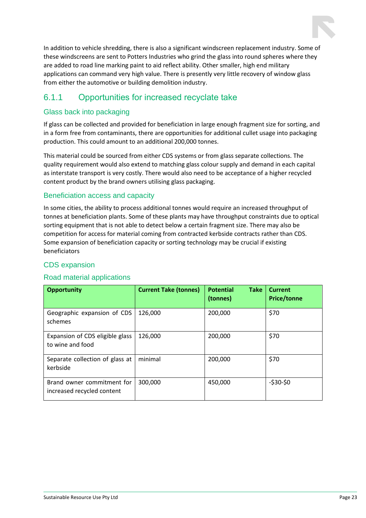

In addition to vehicle shredding, there is also a significant windscreen replacement industry. Some of these windscreens are sent to Potters Industries who grind the glass into round spheres where they are added to road line marking paint to aid reflect ability. Other smaller, high end military applications can command very high value. There is presently very little recovery of window glass from either the automotive or building demolition industry.

### <span id="page-22-0"></span>6.1.1 Opportunities for increased recyclate take

#### Glass back into packaging

If glass can be collected and provided for beneficiation in large enough fragment size for sorting, and in a form free from contaminants, there are opportunities for additional cullet usage into packaging production. This could amount to an additional 200,000 tonnes.

This material could be sourced from either CDS systems or from glass separate collections. The quality requirement would also extend to matching glass colour supply and demand in each capital as interstate transport is very costly. There would also need to be acceptance of a higher recycled content product by the brand owners utilising glass packaging.

#### Beneficiation access and capacity

In some cities, the ability to process additional tonnes would require an increased throughput of tonnes at beneficiation plants. Some of these plants may have throughput constraints due to optical sorting equipment that is not able to detect below a certain fragment size. There may also be competition for access for material coming from contracted kerbside contracts rather than CDS. Some expansion of beneficiation capacity or sorting technology may be crucial if existing beneficiators

#### CDS expansion

#### Road material applications

| <b>Opportunity</b>                                       | <b>Current Take (tonnes)</b> | <b>Take</b><br><b>Potential</b><br>(tonnes) | <b>Current</b><br><b>Price/tonne</b> |
|----------------------------------------------------------|------------------------------|---------------------------------------------|--------------------------------------|
| Geographic expansion of CDS<br>schemes                   | 126,000                      | 200,000                                     | \$70                                 |
| Expansion of CDS eligible glass<br>to wine and food      | 126,000                      | 200,000                                     | \$70                                 |
| Separate collection of glass at<br>kerbside              | minimal                      | 200,000                                     | \$70                                 |
| Brand owner commitment for<br>increased recycled content | 300,000                      | 450,000                                     | $-530-50$                            |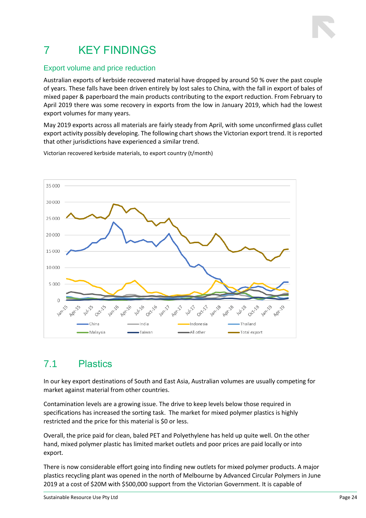## <span id="page-23-0"></span>7 KEY FINDINGS

#### Export volume and price reduction

Australian exports of kerbside recovered material have dropped by around 50 % over the past couple of years. These falls have been driven entirely by lost sales to China, with the fall in export of bales of mixed paper & paperboard the main products contributing to the export reduction. From February to April 2019 there was some recovery in exports from the low in January 2019, which had the lowest export volumes for many years.

May 2019 exports across all materials are fairly steady from April, with some unconfirmed glass cullet export activity possibly developing. The following chart shows the Victorian export trend. It is reported that other jurisdictions have experienced a similar trend.



Victorian recovered kerbside materials, to export country (t/month)

### <span id="page-23-1"></span>7.1 Plastics

In our key export destinations of South and East Asia, Australian volumes are usually competing for market against material from other countries.

Contamination levels are a growing issue. The drive to keep levels below those required in specifications has increased the sorting task. The market for mixed polymer plastics is highly restricted and the price for this material is \$0 or less.

Overall, the price paid for clean, baled PET and Polyethylene has held up quite well. On the other hand, mixed polymer plastic has limited market outlets and poor prices are paid locally or into export.

There is now considerable effort going into finding new outlets for mixed polymer products. A major plastics recycling plant was opened in the north of Melbourne by Advanced Circular Polymers in June 2019 at a cost of \$20M with \$500,000 support from the Victorian Government. It is capable of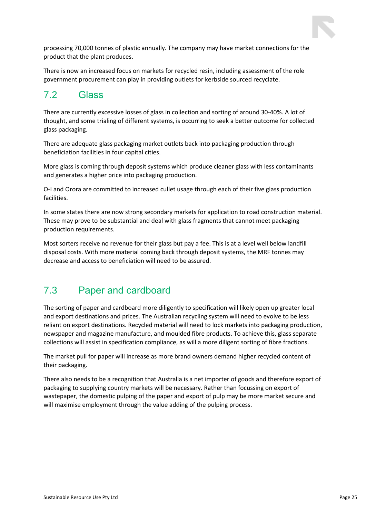

processing 70,000 tonnes of plastic annually. The company may have market connections for the product that the plant produces.

There is now an increased focus on markets for recycled resin, including assessment of the role government procurement can play in providing outlets for kerbside sourced recyclate.

### <span id="page-24-0"></span>7.2 Glass

There are currently excessive losses of glass in collection and sorting of around 30-40%. A lot of thought, and some trialing of different systems, is occurring to seek a better outcome for collected glass packaging.

There are adequate glass packaging market outlets back into packaging production through beneficiation facilities in four capital cities.

More glass is coming through deposit systems which produce cleaner glass with less contaminants and generates a higher price into packaging production.

O-I and Orora are committed to increased cullet usage through each of their five glass production facilities.

In some states there are now strong secondary markets for application to road construction material. These may prove to be substantial and deal with glass fragments that cannot meet packaging production requirements.

Most sorters receive no revenue for their glass but pay a fee. This is at a level well below landfill disposal costs. With more material coming back through deposit systems, the MRF tonnes may decrease and access to beneficiation will need to be assured.

### <span id="page-24-1"></span>7.3 Paper and cardboard

The sorting of paper and cardboard more diligently to specification will likely open up greater local and export destinations and prices. The Australian recycling system will need to evolve to be less reliant on export destinations. Recycled material will need to lock markets into packaging production, newspaper and magazine manufacture, and moulded fibre products. To achieve this, glass separate collections will assist in specification compliance, as will a more diligent sorting of fibre fractions.

The market pull for paper will increase as more brand owners demand higher recycled content of their packaging.

There also needs to be a recognition that Australia is a net importer of goods and therefore export of packaging to supplying country markets will be necessary. Rather than focussing on export of wastepaper, the domestic pulping of the paper and export of pulp may be more market secure and will maximise employment through the value adding of the pulping process.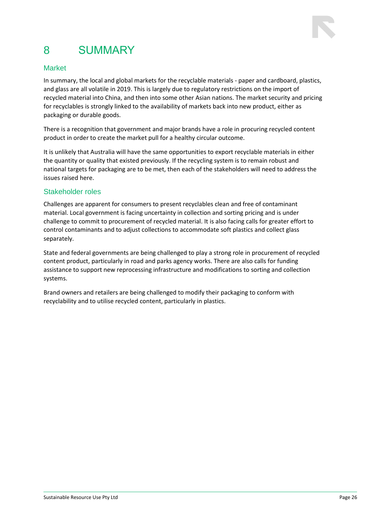## <span id="page-25-0"></span>8 SUMMARY

### Market

In summary, the local and global markets for the recyclable materials - paper and cardboard, plastics, and glass are all volatile in 2019. This is largely due to regulatory restrictions on the import of recycled material into China, and then into some other Asian nations. The market security and pricing for recyclables is strongly linked to the availability of markets back into new product, either as packaging or durable goods.

There is a recognition that government and major brands have a role in procuring recycled content product in order to create the market pull for a healthy circular outcome.

It is unlikely that Australia will have the same opportunities to export recyclable materials in either the quantity or quality that existed previously. If the recycling system is to remain robust and national targets for packaging are to be met, then each of the stakeholders will need to address the issues raised here.

#### Stakeholder roles

Challenges are apparent for consumers to present recyclables clean and free of contaminant material. Local government is facing uncertainty in collection and sorting pricing and is under challenge to commit to procurement of recycled material. It is also facing calls for greater effort to control contaminants and to adjust collections to accommodate soft plastics and collect glass separately.

State and federal governments are being challenged to play a strong role in procurement of recycled content product, particularly in road and parks agency works. There are also calls for funding assistance to support new reprocessing infrastructure and modifications to sorting and collection systems.

Brand owners and retailers are being challenged to modify their packaging to conform with recyclability and to utilise recycled content, particularly in plastics.